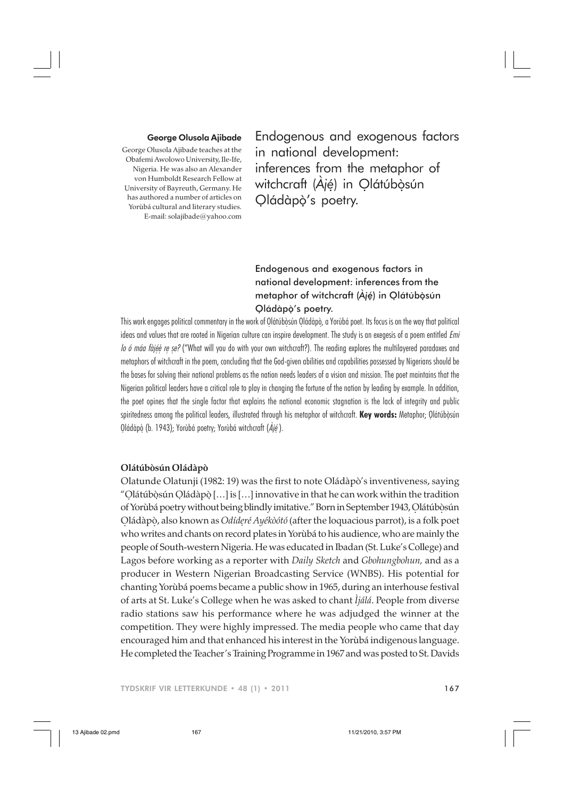### George Olusola Ajibade

George Olusola Ajibade teaches at the Obafemi Awolowo University, Ile-Ife, Nigeria. He was also an Alexander von Humboldt Research Fellow at University of Bayreuth, Germany. He has authored a number of articles on Yorùbá cultural and literary studies. E-mail: solajibade@yahoo.com

Endogenous and exogenous factors in national development: inferences from the metaphor of witchcraft (Ájé) in Olátúbòsún Qládàpò's poetry.

# Endogenous and exogenous factors in national development: inferences from the metaphor of witchcraft (*Àjé*) in Olátúbòsún . . . Qládàpọ's poetry.

This work engages political commentary in the work of Olátúbòsún Oládàpò, a Yorùbá poet. Its focus is on the way that political ideas and values that are rooted in Nigerian culture can inspire development. The study is an exegesis of a poem entitled *Emi lo ó máa fàjéè re ṣe?* ("What will you do with your own witchcraft?). The reading explores the multilayered paradoxes and metaphors of witchcraft in the poem, concluding that the God-given abilities and capabilities possessed by Nigerians should be the bases for solving their national problems as the nation needs leaders of a vision and mission. The poet maintains that the Nigerian political leaders have a critical role to play in changing the fortune of the nation by leading by example. In addition, the poet opines that the single factor that explains the national economic stagnation is the lack of integrity and public spiritedness among the political leaders, illustrated through his metaphor of witchcraft. **Key words:** Metaphor; Olátúbòsún Qládàpò (b. 1943); Yorùbá poetry; Yorùbá witchcraft  $(\dot{A}j\acute{e})$ . . . <u>.</u> . .

### **Olátúbòsún Oládàpò**

Olatunde Olatunji (1982: 19) was the first to note Oládàpò's inventiveness, saying "Olátúbòsún Oládàpò […] is […] innovative in that he can work within the tradition . .. . of Yorùbá poetry without being blindly imitative." Born in September 1943, Olátúbòsún . . Oládàpò, also known as *Odíderé Ayékòótó* (after the loquacious parrot), is a folk poet . . . who writes and chants on record plates in Yorùbá to his audience, who are mainly the people of South-western Nigeria. He was educated in Ibadan (St. Luke's College) and Lagos before working as a reporter with *Daily Sketch* and *Gbohungbohun,* and as a producer in Western Nigerian Broadcasting Service (WNBS). His potential for chanting Yorùbá poems became a public show in 1965, during an interhouse festival of arts at St. Luke's College when he was asked to chant *Ìjálá*. People from diverse radio stations saw his performance where he was adjudged the winner at the competition. They were highly impressed. The media people who came that day encouraged him and that enhanced his interest in the Yorùbá indigenous language. He completed the Teacher's Training Programme in 1967 and was posted to St. Davids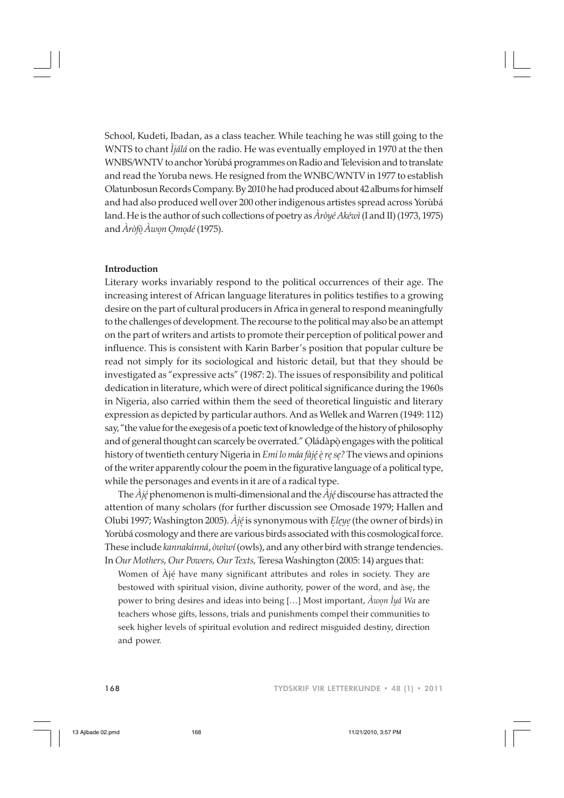School, Kudeti, Ibadan, as a class teacher. While teaching he was still going to the WNTS to chant *Ìjálá* on the radio. He was eventually employed in 1970 at the then WNBS/WNTV to anchor Yorùbá programmes on Radio and Television and to translate and read the Yoruba news. He resigned from the WNBC/WNTV in 1977 to establish Olatunbosun Records Company. By 2010 he had produced about 42 albums for himself and had also produced well over 200 other indigenous artistes spread across Yorùbá land. He is the author of such collections of poetry as *Àròyé Akéwì* (I and II) (1973, 1975) and *Àròfò Àwon Omodé* (1975). . ...

## **Introduction**

Literary works invariably respond to the political occurrences of their age. The increasing interest of African language literatures in politics testifies to a growing desire on the part of cultural producers in Africa in general to respond meaningfully to the challenges of development. The recourse to the political may also be an attempt on the part of writers and artists to promote their perception of political power and influence. This is consistent with Karin Barber's position that popular culture be read not simply for its sociological and historic detail, but that they should be investigated as "expressive acts" (1987: 2). The issues of responsibility and political dedication in literature, which were of direct political significance during the 1960s in Nigeria, also carried within them the seed of theoretical linguistic and literary expression as depicted by particular authors. And as Wellek and Warren (1949: 112) say, "the value for the exegesis of a poetic text of knowledge of the history of philosophy and of general thought can scarcely be overrated." Oládàpò engages with the political . . history of twentieth century Nigeria in *Emi lo máa fàjé è re se?* The views and opinions . . . . of the writer apparently colour the poem in the figurative language of a political type, while the personages and events in it are of a radical type.

The *Àjé* phenomenon is multi-dimensional and the *Àjé* discourse has attracted the . . attention of many scholars (for further discussion see Omosade 1979; Hallen and Olubi 1997; Washington 2005). *Àjé* is synonymous with *Eleye* (the owner of birds) in . . . . Yorùbá cosmology and there are various birds associated with this cosmological force. These include *kannakánná*, *òwìwí* (owls), and any other bird with strange tendencies. In *Our Mothers, Our Powers, Our Texts,* Teresa Washington (2005: 14) argues that:

Women of Àjé have many significant attributes and roles in society. They are . bestowed with spiritual vision, divine authority, power of the word, and àse, the . power to bring desires and ideas into being […] Most important, *Àwon Ìyá Wa* are . teachers whose gifts, lessons, trials and punishments compel their communities to seek higher levels of spiritual evolution and redirect misguided destiny, direction and power.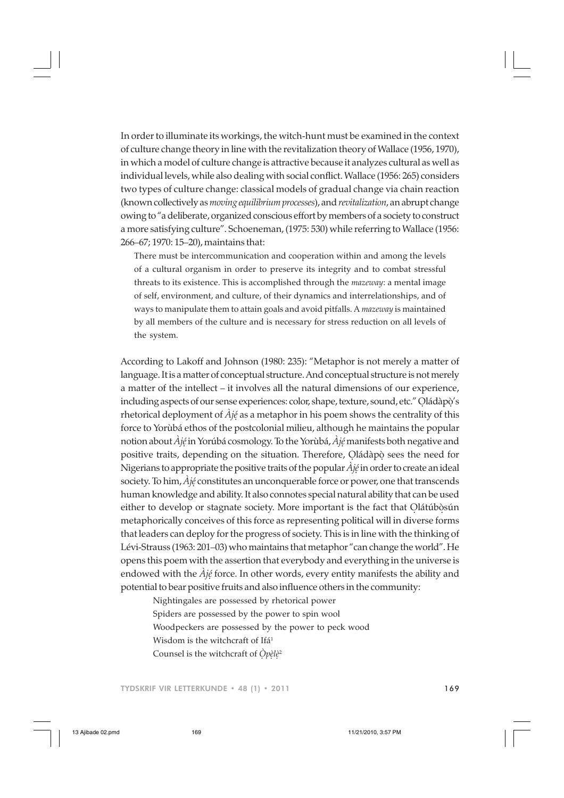In order to illuminate its workings, the witch-hunt must be examined in the context of culture change theory in line with the revitalization theory of Wallace (1956, 1970), in which a model of culture change is attractive because it analyzes cultural as well as individual levels, while also dealing with social conflict. Wallace (1956: 265) considers two types of culture change: classical models of gradual change via chain reaction (known collectively as *moving equilibrium processes*), and *revitalization*, an abrupt change owing to "a deliberate, organized conscious effort by members of a society to construct a more satisfying culture". Schoeneman, (1975: 530) while referring to Wallace (1956: 266–67; 1970: 15–20), maintains that:

There must be intercommunication and cooperation within and among the levels of a cultural organism in order to preserve its integrity and to combat stressful threats to its existence. This is accomplished through the *mazeway*: a mental image of self, environment, and culture, of their dynamics and interrelationships, and of ways to manipulate them to attain goals and avoid pitfalls. A *mazeway* is maintained by all members of the culture and is necessary for stress reduction on all levels of the system.

According to Lakoff and Johnson (1980: 235): "Metaphor is not merely a matter of language. It is a matter of conceptual structure. And conceptual structure is not merely a matter of the intellect – it involves all the natural dimensions of our experience, including aspects of our sense experiences: color, shape, texture, sound, etc." Oládàpò's . . rhetorical deployment of *Àjé* as a metaphor in his poem shows the centrality of this . force to Yorùbá ethos of the postcolonial milieu, although he maintains the popular notion about *Àjé* in Yorúbá cosmology. To the Yorùbá, *Àjé* manifests both negative and . . positive traits, depending on the situation. Therefore, Oládàpò sees the need for . . Nigerians to appropriate the positive traits of the popular *Àjé* in order to create an ideal . society. To him, *Àjé* constitutes an unconquerable force or power, one that transcends . human knowledge and ability. It also connotes special natural ability that can be used either to develop or stagnate society. More important is the fact that Olátúbòsún metaphorically conceives of this force as representing political will in diverse forms that leaders can deploy for the progress of society. This is in line with the thinking of Lévi-Strauss (1963: 201–03) who maintains that metaphor "can change the world". He opens this poem with the assertion that everybody and everything in the universe is endowed with the *Àjé* force. In other words, every entity manifests the ability and . potential to bear positive fruits and also influence others in the community:

Nightingales are possessed by rhetorical power Spiders are possessed by the power to spin wool Woodpeckers are possessed by the power to peck wood Wisdom is the witchcraft of Ifá<sup>1</sup> Counsel is the witchcraft of *Òpèlè*<sup>2</sup> . ..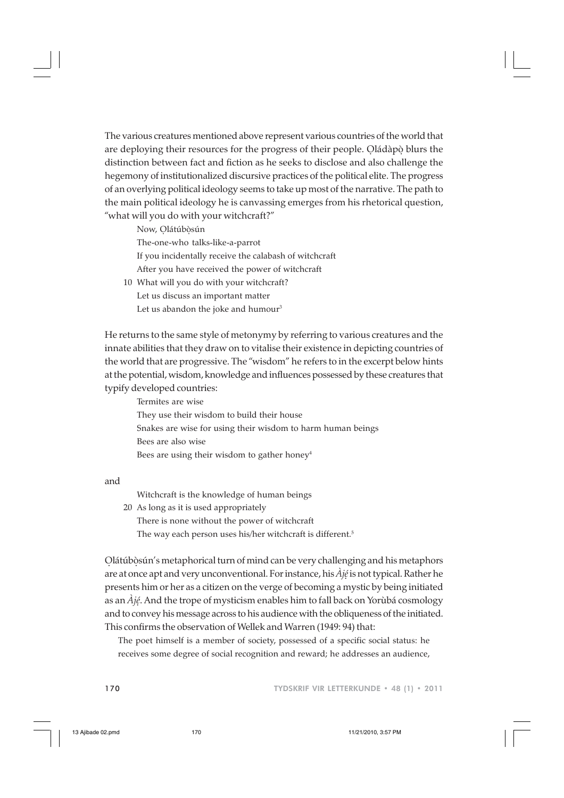The various creatures mentioned above represent various countries of the world that are deploying their resources for the progress of their people. Qládàpò blurs the distinction between fact and fiction as he seeks to disclose and also challenge the hegemony of institutionalized discursive practices of the political elite. The progress of an overlying political ideology seems to take up most of the narrative. The path to the main political ideology he is canvassing emerges from his rhetorical question, "what will you do with your witchcraft?"

Now, Olátúbòsún The-one-who talks-like-a-parrot If you incidentally receive the calabash of witchcraft After you have received the power of witchcraft 10 What will you do with your witchcraft? Let us discuss an important matter

Let us abandon the joke and humour<sup>3</sup>

He returns to the same style of metonymy by referring to various creatures and the innate abilities that they draw on to vitalise their existence in depicting countries of the world that are progressive. The "wisdom" he refers to in the excerpt below hints at the potential, wisdom, knowledge and influences possessed by these creatures that typify developed countries:

Termites are wise They use their wisdom to build their house Snakes are wise for using their wisdom to harm human beings Bees are also wise Bees are using their wisdom to gather honey<sup>4</sup>

and

Witchcraft is the knowledge of human beings

20 As long as it is used appropriately There is none without the power of witchcraft The way each person uses his/her witchcraft is different.<sup>5</sup>

Olátúbòsún's metaphorical turn of mind can be very challenging and his metaphors . . are at once apt and very unconventional. For instance, his *Àjé* is not typical. Rather he . presents him or her as a citizen on the verge of becoming a mystic by being initiated as an *Àjé*. And the trope of mysticism enables him to fall back on Yorùbá cosmology . and to convey his message across to his audience with the obliqueness of the initiated. This confirms the observation of Wellek and Warren (1949: 94) that:

The poet himself is a member of society, possessed of a specific social status: he receives some degree of social recognition and reward; he addresses an audience,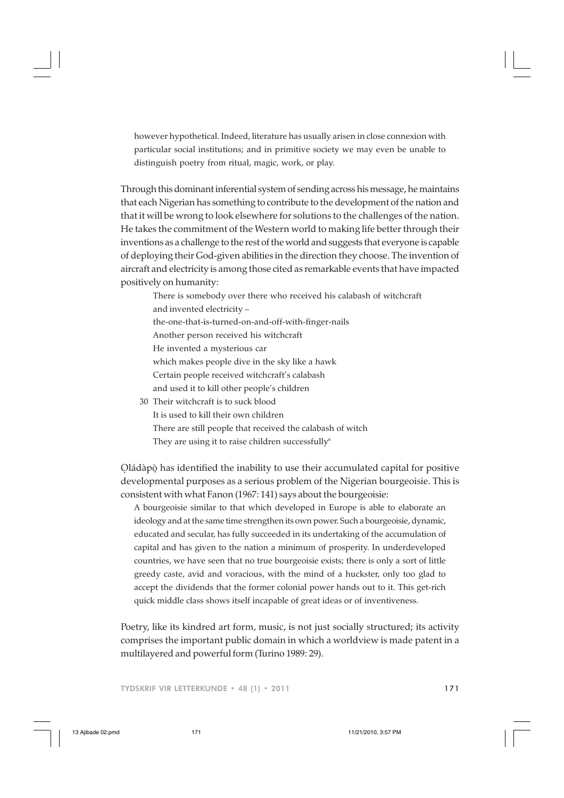however hypothetical. Indeed, literature has usually arisen in close connexion with particular social institutions; and in primitive society we may even be unable to distinguish poetry from ritual, magic, work, or play.

Through this dominant inferential system of sending across his message, he maintains that each Nigerian has something to contribute to the development of the nation and that it will be wrong to look elsewhere for solutions to the challenges of the nation. He takes the commitment of the Western world to making life better through their inventions as a challenge to the rest of the world and suggests that everyone is capable of deploying their God-given abilities in the direction they choose. The invention of aircraft and electricity is among those cited as remarkable events that have impacted positively on humanity:

There is somebody over there who received his calabash of witchcraft and invented electricity – the-one-that-is-turned-on-and-off-with-finger-nails Another person received his witchcraft He invented a mysterious car which makes people dive in the sky like a hawk Certain people received witchcraft's calabash and used it to kill other people's children 30 Their witchcraft is to suck blood

It is used to kill their own children There are still people that received the calabash of witch They are using it to raise children successfully $6$ 

Oládàpò has identified the inability to use their accumulated capital for positive . . developmental purposes as a serious problem of the Nigerian bourgeoisie. This is consistent with what Fanon (1967: 141) says about the bourgeoisie:

A bourgeoisie similar to that which developed in Europe is able to elaborate an ideology and at the same time strengthen its own power. Such a bourgeoisie, dynamic, educated and secular, has fully succeeded in its undertaking of the accumulation of capital and has given to the nation a minimum of prosperity. In underdeveloped countries, we have seen that no true bourgeoisie exists; there is only a sort of little greedy caste, avid and voracious, with the mind of a huckster, only too glad to accept the dividends that the former colonial power hands out to it. This get-rich quick middle class shows itself incapable of great ideas or of inventiveness.

Poetry, like its kindred art form, music, is not just socially structured; its activity comprises the important public domain in which a worldview is made patent in a multilayered and powerful form (Turino 1989: 29).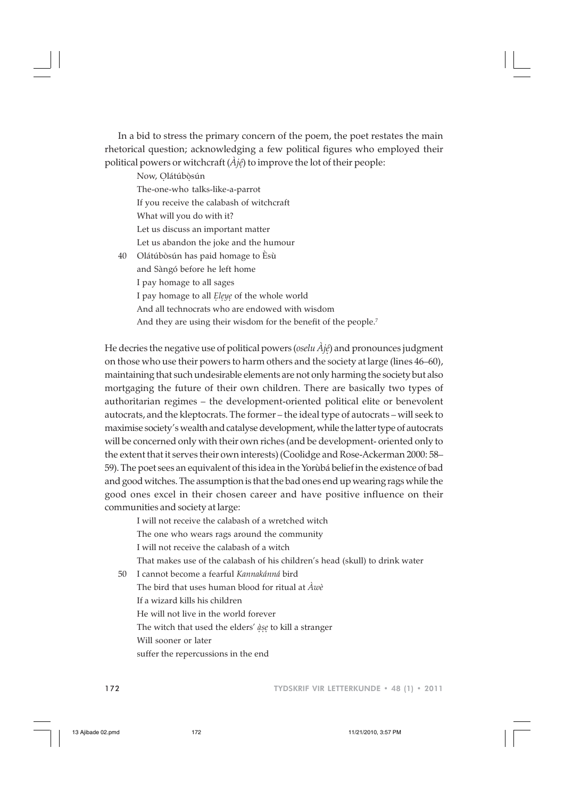In a bid to stress the primary concern of the poem, the poet restates the main rhetorical question; acknowledging a few political figures who employed their political powers or witchcraft (*Àjé*) to improve the lot of their people: .

Now, Olátúbòsún The-one-who talks-like-a-parrot If you receive the calabash of witchcraft What will you do with it? Let us discuss an important matter Let us abandon the joke and the humour 40 Olátúbòsún has paid homage to Èsù and Sàngó before he left home

I pay homage to all sages I pay homage to all *Eleye* of the whole world And all technocrats who are endowed with wisdom And they are using their wisdom for the benefit of the people.<sup>7</sup>

He decries the negative use of political powers (*oselu Àjé*) and pronounces judgment . on those who use their powers to harm others and the society at large (lines 46–60), maintaining that such undesirable elements are not only harming the society but also mortgaging the future of their own children. There are basically two types of authoritarian regimes – the development-oriented political elite or benevolent autocrats, and the kleptocrats. The former – the ideal type of autocrats – will seek to maximise society's wealth and catalyse development, while the latter type of autocrats will be concerned only with their own riches (and be development- oriented only to the extent that it serves their own interests) (Coolidge and Rose-Ackerman 2000: 58– 59). The poet sees an equivalent of this idea in the Yorùbá belief in the existence of bad and good witches. The assumption is that the bad ones end up wearing rags while the good ones excel in their chosen career and have positive influence on their communities and society at large:

I will not receive the calabash of a wretched witch The one who wears rags around the community I will not receive the calabash of a witch That makes use of the calabash of his children's head (skull) to drink water

50 I cannot become a fearful *Kannakánná* bird

The bird that uses human blood for ritual at *Àwè* If a wizard kills his children He will not live in the world forever The witch that used the elders' *àse* to kill a stranger . . . Will sooner or later suffer the repercussions in the end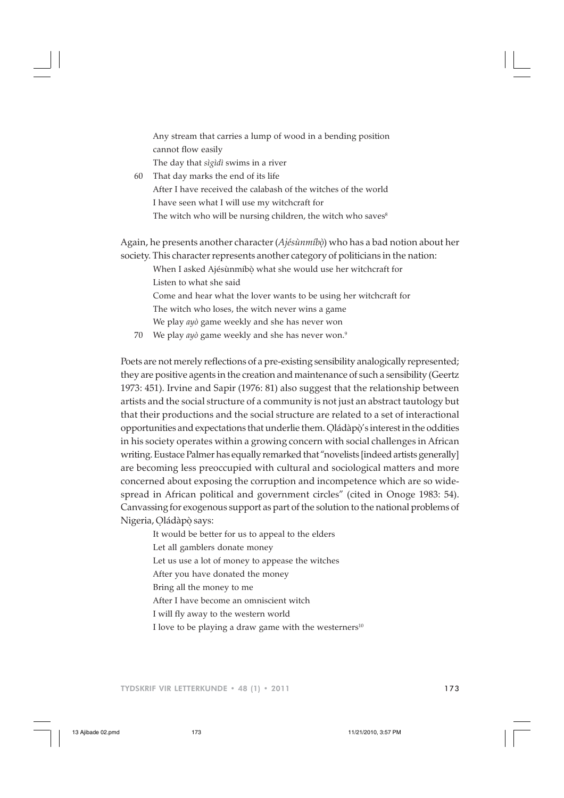Any stream that carries a lump of wood in a bending position cannot flow easily The day that *sìgìdì* swims in a river

60 That day marks the end of its life After I have received the calabash of the witches of the world I have seen what I will use my witchcraft for The witch who will be nursing children, the witch who saves<sup>8</sup>

Again, he presents another character (*Ajésùnmíbò*) who has a bad notion about her . society. This character represents another category of politicians in the nation:

When I asked Ajésùnmíbò what she would use her witchcraft for . Listen to what she said Come and hear what the lover wants to be using her witchcraft for The witch who loses, the witch never wins a game We play *ayò* game weekly and she has never won

70 We play *ayò* game weekly and she has never won.9

Poets are not merely reflections of a pre-existing sensibility analogically represented; they are positive agents in the creation and maintenance of such a sensibility (Geertz 1973: 451). Irvine and Sapir (1976: 81) also suggest that the relationship between artists and the social structure of a community is not just an abstract tautology but that their productions and the social structure are related to a set of interactional opportunities and expectations that underlie them. Oládàpò's interest in the oddities . . in his society operates within a growing concern with social challenges in African writing. Eustace Palmer has equally remarked that "novelists [indeed artists generally] are becoming less preoccupied with cultural and sociological matters and more concerned about exposing the corruption and incompetence which are so widespread in African political and government circles" (cited in Onoge 1983: 54). Canvassing for exogenous support as part of the solution to the national problems of Nigeria, Oládàpò says: . .

It would be better for us to appeal to the elders

Let all gamblers donate money

Let us use a lot of money to appease the witches

After you have donated the money

Bring all the money to me

After I have become an omniscient witch

I will fly away to the western world

I love to be playing a draw game with the westerners $10$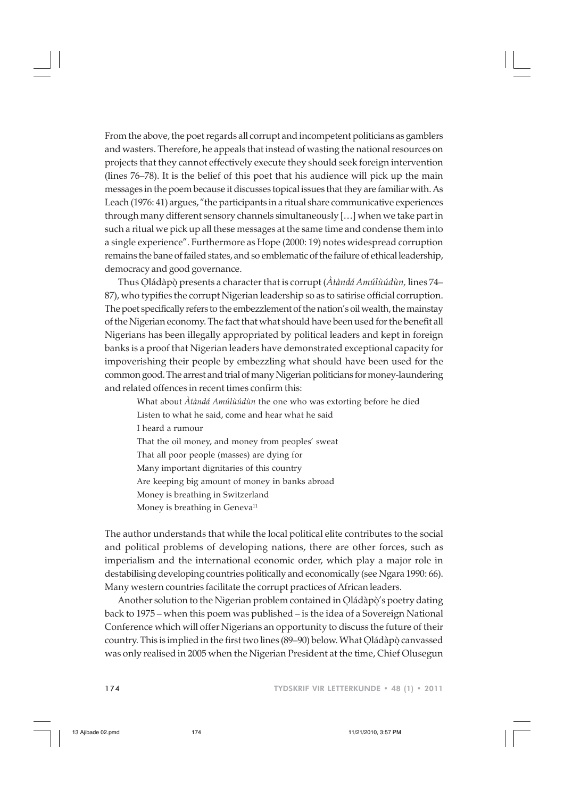From the above, the poet regards all corrupt and incompetent politicians as gamblers and wasters. Therefore, he appeals that instead of wasting the national resources on projects that they cannot effectively execute they should seek foreign intervention (lines 76–78). It is the belief of this poet that his audience will pick up the main messages in the poem because it discusses topical issues that they are familiar with. As Leach (1976: 41) argues, "the participants in a ritual share communicative experiences through many different sensory channels simultaneously […] when we take part in such a ritual we pick up all these messages at the same time and condense them into a single experience". Furthermore as Hope (2000: 19) notes widespread corruption remains the bane of failed states, and so emblematic of the failure of ethical leadership, democracy and good governance.

Thus Oládàpò presents a character that is corrupt (*Àtàndá Amúlùúdùn,* lines 74– . . 87), who typifies the corrupt Nigerian leadership so as to satirise official corruption. The poet specifically refers to the embezzlement of the nation's oil wealth, the mainstay of the Nigerian economy. The fact that what should have been used for the benefit all Nigerians has been illegally appropriated by political leaders and kept in foreign banks is a proof that Nigerian leaders have demonstrated exceptional capacity for impoverishing their people by embezzling what should have been used for the common good. The arrest and trial of many Nigerian politicians for money-laundering and related offences in recent times confirm this:

What about *Àtàndá Amúlùúdùn* the one who was extorting before he died Listen to what he said, come and hear what he said I heard a rumour That the oil money, and money from peoples' sweat That all poor people (masses) are dying for Many important dignitaries of this country Are keeping big amount of money in banks abroad Money is breathing in Switzerland Money is breathing in Geneva<sup>11</sup>

The author understands that while the local political elite contributes to the social and political problems of developing nations, there are other forces, such as imperialism and the international economic order, which play a major role in destabilising developing countries politically and economically (see Ngara 1990: 66). Many western countries facilitate the corrupt practices of African leaders.

Another solution to the Nigerian problem contained in Oládàpò's poetry dating . . back to 1975 – when this poem was published – is the idea of a Sovereign National Conference which will offer Nigerians an opportunity to discuss the future of their country. This is implied in the first two lines (89–90) below. What Oládàpò canvassed . . was only realised in 2005 when the Nigerian President at the time, Chief Olusegun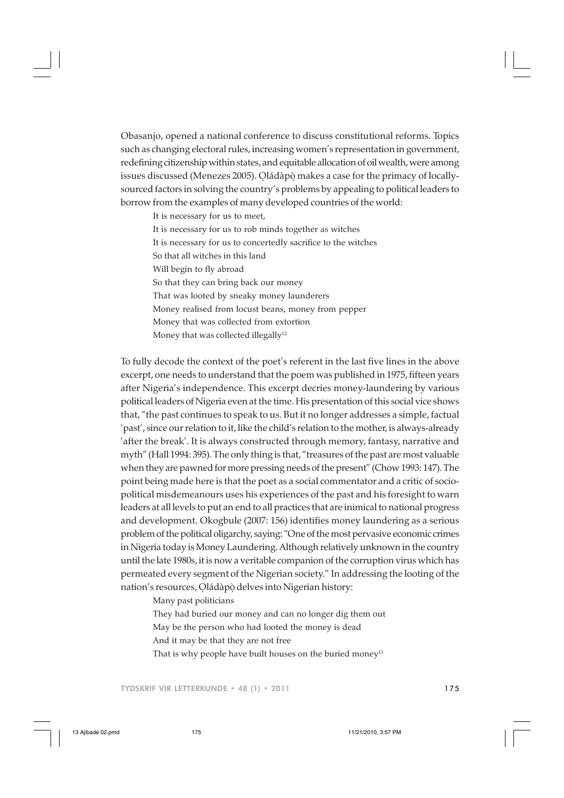Obasanjo, opened a national conference to discuss constitutional reforms. Topics such as changing electoral rules, increasing women's representation in government, redefining citizenship within states, and equitable allocation of oil wealth, were among issues discussed (Menezes 2005). Oládàpò makes a case for the primacy of locally-. . sourced factors in solving the country's problems by appealing to political leaders to borrow from the examples of many developed countries of the world:

It is necessary for us to meet, It is necessary for us to rob minds together as witches It is necessary for us to concertedly sacrifice to the witches So that all witches in this land Will begin to fly abroad So that they can bring back our money That was looted by sneaky money launderers Money realised from locust beans, money from pepper Money that was collected from extortion Money that was collected illegally<sup>12</sup>

To fully decode the context of the poet's referent in the last five lines in the above excerpt, one needs to understand that the poem was published in 1975, fifteen years after Nigeria's independence. This excerpt decries money-laundering by various political leaders of Nigeria even at the time. His presentation of this social vice shows that, "the past continues to speak to us. But it no longer addresses a simple, factual 'past', since our relation to it, like the child's relation to the mother, is always-already 'after the break'. It is always constructed through memory, fantasy, narrative and myth" (Hall 1994: 395). The only thing is that, "treasures of the past are most valuable when they are pawned for more pressing needs of the present" (Chow 1993: 147). The point being made here is that the poet as a social commentator and a critic of sociopolitical misdemeanours uses his experiences of the past and his foresight to warn leaders at all levels to put an end to all practices that are inimical to national progress and development. Okogbule (2007: 156) identifies money laundering as a serious problem of the political oligarchy, saying: "One of the most pervasive economic crimes in Nigeria today is Money Laundering. Although relatively unknown in the country until the late 1980s, it is now a veritable companion of the corruption virus which has permeated every segment of the Nigerian society." In addressing the looting of the nation's resources, Oládàpò delves into Nigerian history: . .

Many past politicians

They had buried our money and can no longer dig them out

May be the person who had looted the money is dead

And it may be that they are not free

That is why people have built houses on the buried money<sup>13</sup>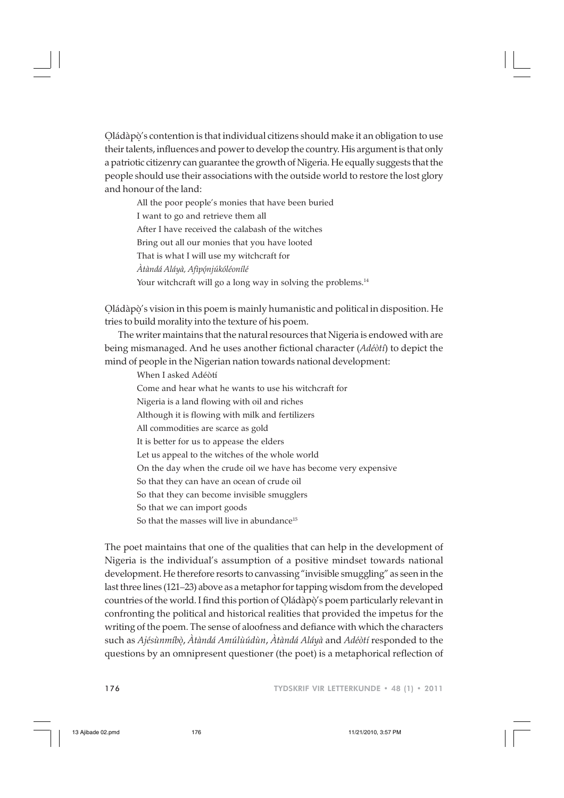Oládàpò's contention is that individual citizens should make it an obligation to use . . their talents, influences and power to develop the country. His argument is that only a patriotic citizenry can guarantee the growth of Nigeria. He equally suggests that the people should use their associations with the outside world to restore the lost glory and honour of the land:

All the poor people's monies that have been buried I want to go and retrieve them all After I have received the calabash of the witches Bring out all our monies that you have looted That is what I will use my witchcraft for *Àtàndá Aláyà, Afìpónjúkóléonílé* . Your witchcraft will go a long way in solving the problems.<sup>14</sup>

Oládàpò's vision in this poem is mainly humanistic and political in disposition. He . . tries to build morality into the texture of his poem.

The writer maintains that the natural resources that Nigeria is endowed with are being mismanaged. And he uses another fictional character (*Adéòtí*) to depict the mind of people in the Nigerian nation towards national development:

When I asked Adéòtí Come and hear what he wants to use his witchcraft for Nigeria is a land flowing with oil and riches Although it is flowing with milk and fertilizers All commodities are scarce as gold It is better for us to appease the elders Let us appeal to the witches of the whole world On the day when the crude oil we have has become very expensive So that they can have an ocean of crude oil So that they can become invisible smugglers So that we can import goods So that the masses will live in abundance<sup>15</sup>

The poet maintains that one of the qualities that can help in the development of Nigeria is the individual's assumption of a positive mindset towards national development. He therefore resorts to canvassing "invisible smuggling" as seen in the last three lines (121–23) above as a metaphor for tapping wisdom from the developed countries of the world. I find this portion of Oládàpò's poem particularly relevant in . . confronting the political and historical realities that provided the impetus for the writing of the poem. The sense of aloofness and defiance with which the characters such as *Ajésùnmíbò*, *Àtàndá Amúlùúdùn*, *Àtàndá Aláyà* and *Adéòtí* responded to the . questions by an omnipresent questioner (the poet) is a metaphorical reflection of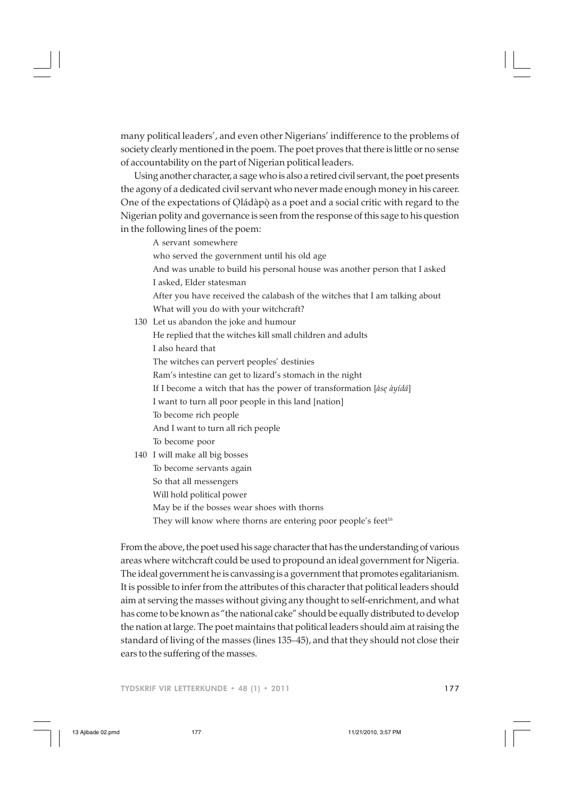many political leaders', and even other Nigerians' indifference to the problems of society clearly mentioned in the poem. The poet proves that there is little or no sense of accountability on the part of Nigerian political leaders.

Using another character, a sage who is also a retired civil servant, the poet presents the agony of a dedicated civil servant who never made enough money in his career. One of the expectations of Oládàpò as a poet and a social critic with regard to the . . Nigerian polity and governance is seen from the response of this sage to his question in the following lines of the poem:

A servant somewhere

who served the government until his old age

And was unable to build his personal house was another person that I asked I asked, Elder statesman

After you have received the calabash of the witches that I am talking about What will you do with your witchcraft?

130 Let us abandon the joke and humour

He replied that the witches kill small children and adults I also heard that The witches can pervert peoples' destinies Ram's intestine can get to lizard's stomach in the night If I become a witch that has the power of transformation [*àse àyídá*] . I want to turn all poor people in this land [nation] To become rich people And I want to turn all rich people To become poor

# 140 I will make all big bosses To become servants again

So that all messengers

Will hold political power

May be if the bosses wear shoes with thorns

They will know where thorns are entering poor people's feet<sup>16</sup>

From the above, the poet used his sage character that has the understanding of various areas where witchcraft could be used to propound an ideal government for Nigeria. The ideal government he is canvassing is a government that promotes egalitarianism. It is possible to infer from the attributes of this character that political leaders should aim at serving the masses without giving any thought to self-enrichment, and what has come to be known as "the national cake" should be equally distributed to develop the nation at large. The poet maintains that political leaders should aim at raising the standard of living of the masses (lines 135–45), and that they should not close their ears to the suffering of the masses.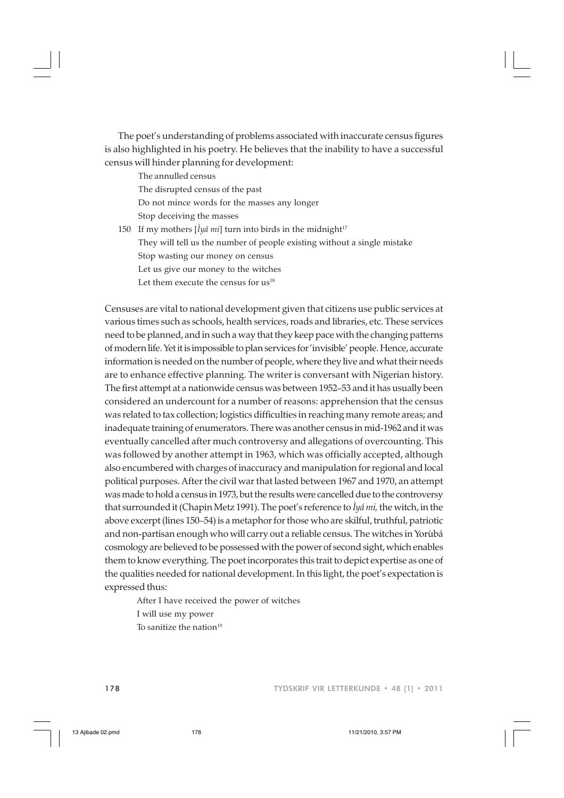The poet's understanding of problems associated with inaccurate census figures is also highlighted in his poetry. He believes that the inability to have a successful census will hinder planning for development:

The annulled census The disrupted census of the past Do not mince words for the masses any longer Stop deceiving the masses

150 If my mothers  $[\hat{I}y\hat{a} m\hat{i}]$  turn into birds in the midnight<sup>17</sup> They will tell us the number of people existing without a single mistake Stop wasting our money on census Let us give our money to the witches Let them execute the census for  $us^{18}$ 

Censuses are vital to national development given that citizens use public services at various times such as schools, health services, roads and libraries, etc. These services need to be planned, and in such a way that they keep pace with the changing patterns of modern life. Yet it is impossible to plan services for 'invisible' people. Hence, accurate information is needed on the number of people, where they live and what their needs are to enhance effective planning. The writer is conversant with Nigerian history. The first attempt at a nationwide census was between 1952–53 and it has usually been considered an undercount for a number of reasons: apprehension that the census was related to tax collection; logistics difficulties in reaching many remote areas; and inadequate training of enumerators. There was another census in mid-1962 and it was eventually cancelled after much controversy and allegations of overcounting. This was followed by another attempt in 1963, which was officially accepted, although also encumbered with charges of inaccuracy and manipulation for regional and local political purposes. After the civil war that lasted between 1967 and 1970, an attempt was made to hold a census in 1973, but the results were cancelled due to the controversy that surrounded it (Chapin Metz 1991). The poet's reference to *Ìyá mi,* the witch, in the above excerpt (lines 150–54) is a metaphor for those who are skilful, truthful, patriotic and non-partisan enough who will carry out a reliable census. The witches in Yorùbá cosmology are believed to be possessed with the power of second sight, which enables them to know everything. The poet incorporates this trait to depict expertise as one of the qualities needed for national development. In this light, the poet's expectation is expressed thus:

After I have received the power of witches I will use my power To sanitize the nation $19$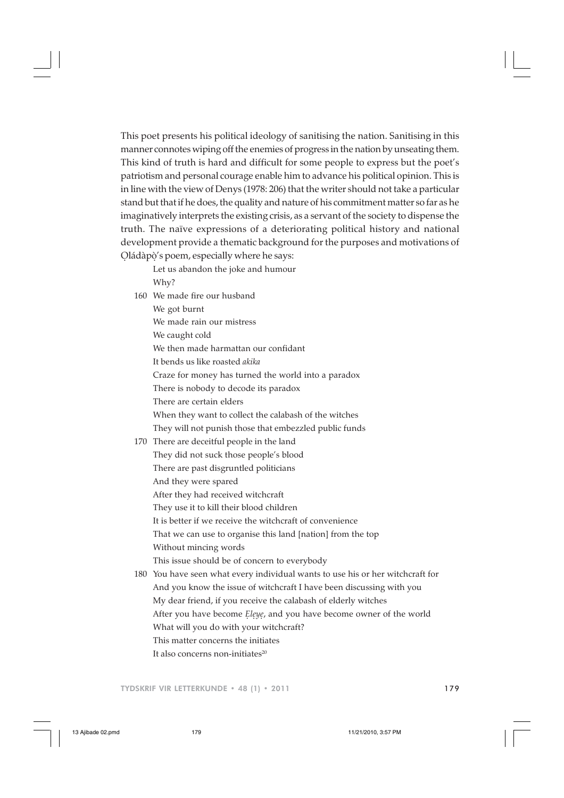This poet presents his political ideology of sanitising the nation. Sanitising in this manner connotes wiping off the enemies of progress in the nation by unseating them. This kind of truth is hard and difficult for some people to express but the poet's patriotism and personal courage enable him to advance his political opinion. This is in line with the view of Denys (1978: 206) that the writer should not take a particular stand but that if he does, the quality and nature of his commitment matter so far as he imaginatively interprets the existing crisis, as a servant of the society to dispense the truth. The naïve expressions of a deteriorating political history and national development provide a thematic background for the purposes and motivations of Oládàpò's poem, especially where he says: . .

Let us abandon the joke and humour Why?

160 We made fire our husband We got burnt We made rain our mistress We caught cold We then made harmattan our confidant It bends us like roasted *akika* Craze for money has turned the world into a paradox There is nobody to decode its paradox There are certain elders When they want to collect the calabash of the witches They will not punish those that embezzled public funds 170 There are deceitful people in the land They did not suck those people's blood There are past disgruntled politicians And they were spared After they had received witchcraft They use it to kill their blood children It is better if we receive the witchcraft of convenience That we can use to organise this land [nation] from the top Without mincing words This issue should be of concern to everybody 180 You have seen what every individual wants to use his or her witchcraft for And you know the issue of witchcraft I have been discussing with you My dear friend, if you receive the calabash of elderly witches After you have become *Eleye,* and you have become owner of the world

What will you do with your witchcraft?

This matter concerns the initiates

It also concerns non-initiates $^{20}$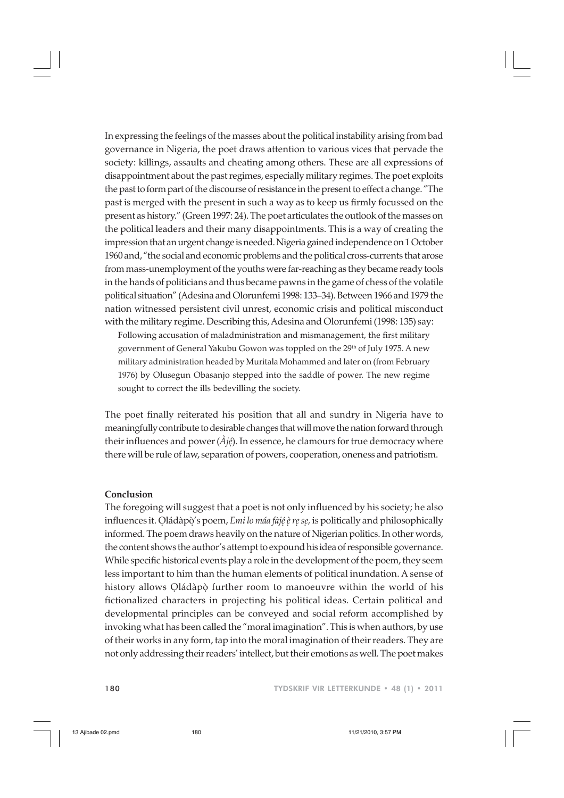In expressing the feelings of the masses about the political instability arising from bad governance in Nigeria, the poet draws attention to various vices that pervade the society: killings, assaults and cheating among others. These are all expressions of disappointment about the past regimes, especially military regimes. The poet exploits the past to form part of the discourse of resistance in the present to effect a change. "The past is merged with the present in such a way as to keep us firmly focussed on the present as history." (Green 1997: 24). The poet articulates the outlook of the masses on the political leaders and their many disappointments. This is a way of creating the impression that an urgent change is needed. Nigeria gained independence on 1 October 1960 and, "the social and economic problems and the political cross-currents that arose from mass-unemployment of the youths were far-reaching as they became ready tools in the hands of politicians and thus became pawns in the game of chess of the volatile political situation" (Adesina and Olorunfemi 1998: 133–34). Between 1966 and 1979 the nation witnessed persistent civil unrest, economic crisis and political misconduct with the military regime. Describing this, Adesina and Olorunfemi (1998: 135) say:

Following accusation of maladministration and mismanagement, the first military government of General Yakubu Gowon was toppled on the 29<sup>th</sup> of July 1975. A new military administration headed by Muritala Mohammed and later on (from February 1976) by Olusegun Obasanjo stepped into the saddle of power. The new regime sought to correct the ills bedevilling the society.

The poet finally reiterated his position that all and sundry in Nigeria have to meaningfully contribute to desirable changes that will move the nation forward through their influences and power (*Àjé*). In essence, he clamours for true democracy where . there will be rule of law, separation of powers, cooperation, oneness and patriotism.

## **Conclusion**

The foregoing will suggest that a poet is not only influenced by his society; he also influences it. Qládàpò's poem*, Emi lo máa fàjé è re se,* is politically and philosophically informed. The poem draws heavily on the nature of Nigerian politics. In other words, the content shows the author's attempt to expound his idea of responsible governance. While specific historical events play a role in the development of the poem, they seem less important to him than the human elements of political inundation. A sense of history allows Ọládàpọ̀ further room to manoeuvre within the world of his fictionalized characters in projecting his political ideas. Certain political and developmental principles can be conveyed and social reform accomplished by invoking what has been called the "moral imagination". This is when authors, by use of their works in any form, tap into the moral imagination of their readers. They are not only addressing their readers' intellect, but their emotions as well. The poet makes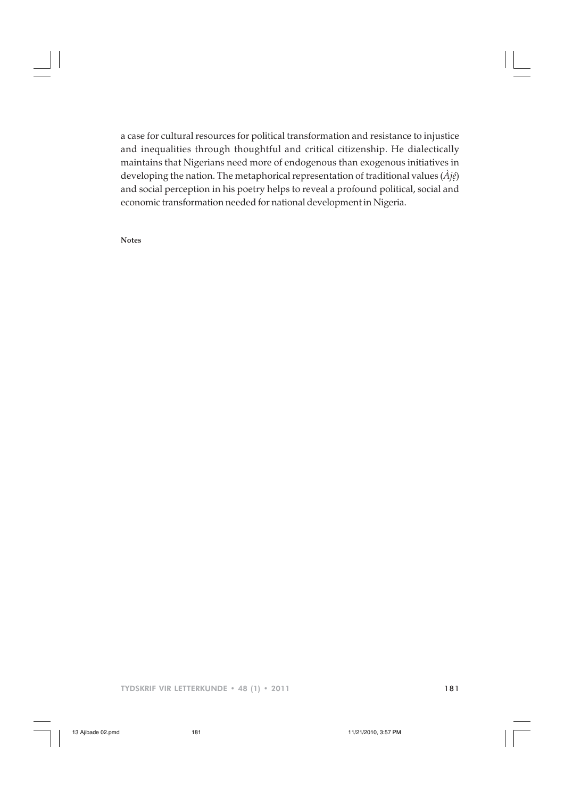a case for cultural resources for political transformation and resistance to injustice and inequalities through thoughtful and critical citizenship. He dialectically maintains that Nigerians need more of endogenous than exogenous initiatives in developing the nation. The metaphorical representation of traditional values (*Àjé*) . and social perception in his poetry helps to reveal a profound political, social and economic transformation needed for national development in Nigeria.

**Notes**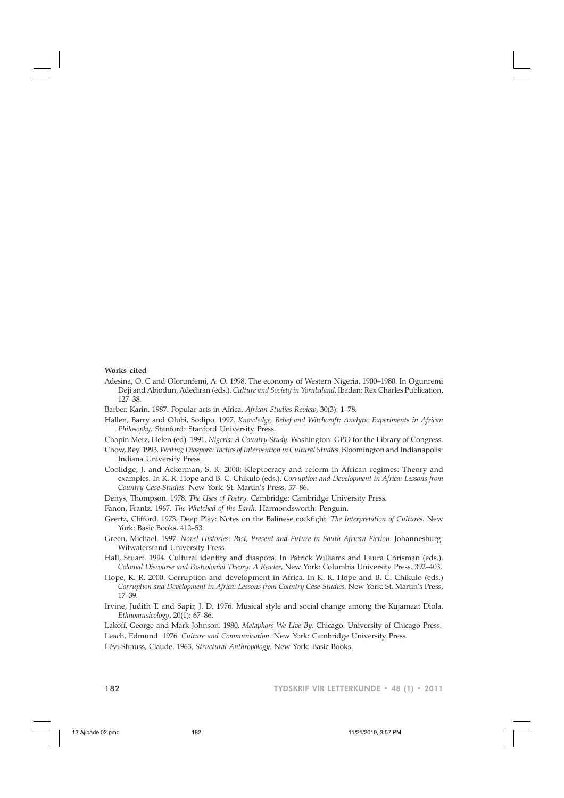#### **Works cited**

Adesina, O. C and Olorunfemi, A. O. 1998. The economy of Western Nigeria, 1900–1980. In Ogunremi Deji and Abiodun, Adediran (eds.). *Culture and Society in Yorubaland*. Ibadan: Rex Charles Publication, 127–38.

Barber, Karin. 1987. Popular arts in Africa. *African Studies Review*, 30(3): 1–78.

Hallen, Barry and Olubi, Sodipo. 1997. *Knowledge, Belief and Witchcraft: Analytic Experiments in African Philosophy*. Stanford: Stanford University Press.

Chapin Metz, Helen (ed). 1991. *Nigeria: A Country Study*. Washington: GPO for the Library of Congress.

- Chow, Rey. 1993. *Writing Diaspora: Tactics of Intervention in Cultural Studies*. Bloomington and Indianapolis: Indiana University Press.
- Coolidge, J. and Ackerman, S. R. 2000: Kleptocracy and reform in African regimes: Theory and examples*.* In K. R. Hope and B. C. Chikulo (eds.). *Corruption and Development in Africa: Lessons from Country Case-Studies.* New York: St. Martin's Press, 57–86.
- Denys, Thompson. 1978. *The Uses of Poetry*. Cambridge: Cambridge University Press.
- Fanon, Frantz. 1967. *The Wretched of the Earth*. Harmondsworth: Penguin.
- Geertz, Clifford. 1973. Deep Play: Notes on the Balinese cockfight. *The Interpretation of Cultures*. New York: Basic Books, 412–53.
- Green, Michael. 1997. *Novel Histories: Past, Present and Future in South African Fiction*. Johannesburg: Witwatersrand University Press.
- Hall, Stuart. 1994. Cultural identity and diaspora. In Patrick Williams and Laura Chrisman (eds.). *Colonial Discourse and Postcolonial Theory: A Reader*, New York: Columbia University Press. 392–403.
- Hope, K. R. 2000. Corruption and development in Africa. In K. R. Hope and B. C. Chikulo (eds.) *Corruption and Development in Africa: Lessons from Country Case-Studies.* New York: St. Martin's Press, 17–39.
- Irvine, Judith T. and Sapir, J. D. 1976. Musical style and social change among the Kujamaat Diola. *Ethnomusicology*, 20(1): 67–86.
- Lakoff, George and Mark Johnson. 1980. *Metaphors We Live By*. Chicago: University of Chicago Press. Leach, Edmund. 1976. *Culture and Communication*. New York: Cambridge University Press.

Lévi-Strauss, Claude. 1963. *Structural Anthropology*. New York: Basic Books.